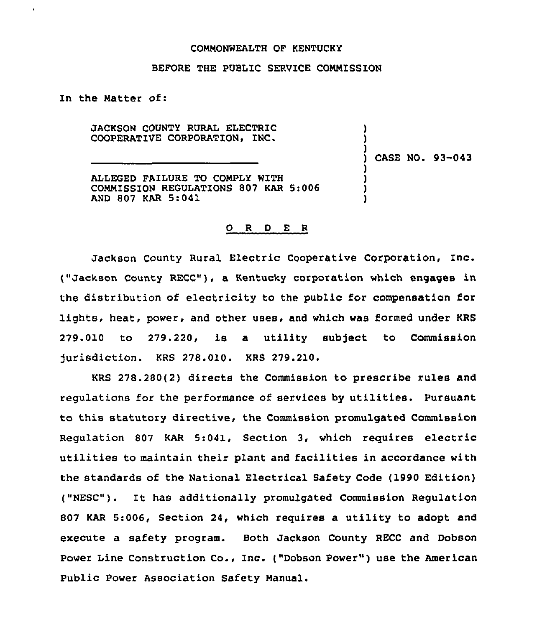## COMMONWEALTH OF KENTUCKY

## BEFORE THE PUBLIC SERVICE COMMISSION

In the Natter of:

JACKSON COUNTY RURAL ELECTRIC COOPERATIVE CORPORATION, INC.

) CASE NO. 93-043

) ) )

) ) ) )

ALLEGED FAILURE TO COMPLY WITH CONNISSION REGULATIONS 807 KAR 5:006 AND 807 KAR 5:041

## 0 <sup>R</sup> <sup>D</sup> E <sup>R</sup>

Jackson County Rural Electric Cooperative Corporation, Inc. ("Jackson County RECC"), a Kentucky corporation which engages in the distribution of electricity to the public for compensation for lights, heat, power, and other uses, and which was formed under KRS 279.010 to 279.220, is a utility subject to Commission Jurisdiction. KRS 278.010. KRS 279.210.

KRS 278.280(2) directs the Commission to prescribe rules and regulations for the performance of services by utilities. Pursuant to this statutory directive, the Commission promulgated Commission Regulation 807 KAR 5:041, Section 3, which requires electric utilities to maintain their plant and facilities in accordance with the standards of the National Electrical Safety Code (1990 Edition) ("NESC"). It has additionally promulgated Commission Regulation 807 KAR 5:006, Section 24, which requires a utility to adopt and execute a safety program. Both Jackson County RECC and Dobson power Line Construction Co., Inc. ("Dobson Power" ) use the American Public Power Association Safety Manual.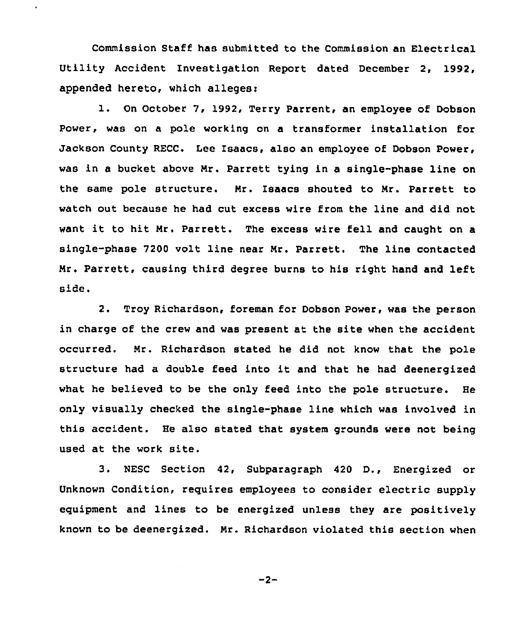Commission Staff has submitted to the Commission an Electrical Utility Accident Investigation Report dated December 2, 1992, appended hereto, which alleges:

 $\bullet$ 

l. On October 7, 1992, Terry Parrent, an employee of Dobson Power, was on a pole working on a transformer installation for Jackson County RECC. Lee Isaacs, also an employee of Dobson Power, was in a bucket above Nr. Parrett tying in a single-phase line on the same pole structure. Nr. Isaacs shouted to Mr. Parrett to watch out because he had cut excess wire from the line and did not want it to hit Mr. Parrett. The excess wire fell and caught on <sup>a</sup> single-phase 7200 volt line near Nr. Parrett. The line contacted Mr. Parrett, causing third degree burns to his right hand and left side.

2. Troy Richardson, foreman for Dobson Power, was the person in charge of the crew and was present at the site when the accident occurred. Mr. Richardson stated he did not know that the pole structure had <sup>a</sup> double feed into it and that he had deenergized what he believed to be the only feed into the pole structure. He only visually checked the single-phase line which was involved in this accident. He also stated that system grounds were not being used at the work site.

3. MESC Section 42, Subparagraph <sup>420</sup> D., Energized or Unknown Condition, requires employees to consider electric supply equipment and lines to be energized unless they are positively known to be deenergized. Nr. Richardson violated this section when

$$
-2 -
$$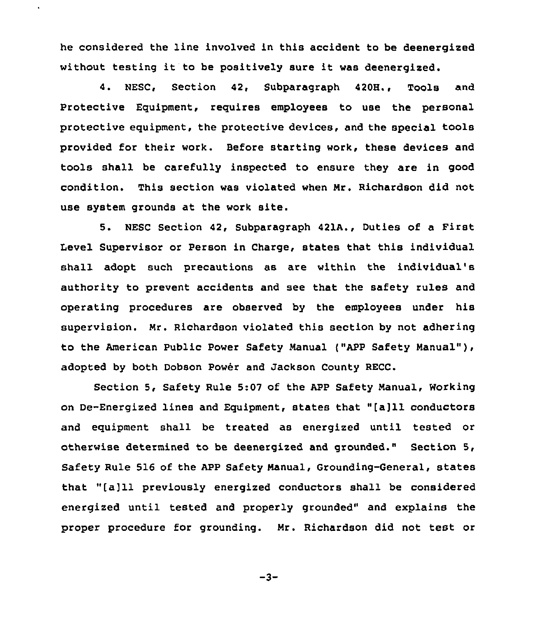he considered the line involved in this accident to be deenergized without testing it to be positively sure it was deenergized.

 $\ddot{\phantom{0}}$ 

4. MESC, Section 42, Subparagraph 4208., Tools and Protective Equipment, requires employees to use the personal protective equipment, the protective devices, and the special tools provided for their work. Before starting work, these devices and tools shall be carefully inspected to ensure they are in good condition. This section was violated when Nr. Richardson did not use system grounds at the work site.

5. NESC Section 42, Subparagraph 421A., Duties of a First Level Supervisor or Person in Charge, states that this individual shall adopt such precautions as are within the individual's authority to prevent accidents and see that the safety rules and operating procedures are observed by the employees under his supervision. Nr. Richardson violated this section by not adhering to the American Public Power Safety Nanual ["APP Safety Nanual"), adopted by both Dobson Power and Jackson County RECC.

Section 5, Safety Rule 5:07 of the APP Safety Nanual, Working on De-Energized lines and Equipment, states that "[a]11conductors and equipment shall be treated as energized until tested or otherwise determined to be deenergized and grounded." Section 5, Safety Rule 516 of the APP Safety Nanual, Grounding-General, states that "[a]11 previously energized conductors shall be considered energized until tested and properly grounded" and explains the proper procedure for grounding. Nr. Richardson did not test or

 $-3-$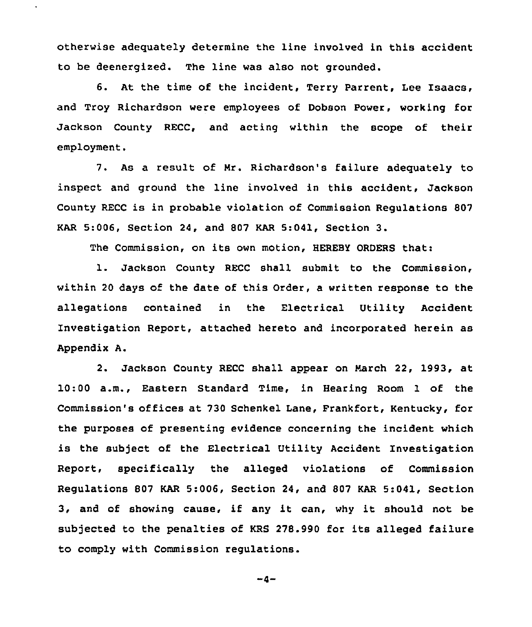otherwise adequately determine the line involved in this accident to be deenergized. The line was also not grounded.

 $\ddot{\phantom{a}}$ 

6. At the time of the incident, Terry Parrent, Lee Isaacs, and Troy Richardson were employees of Dobson Power, working for Jackson County RECC, and acting within the scope of their employment.

7. As a result of Nr. Richardson's failure adequately to inspect and ground the line involved in this accident, Jackson County RECC is in probable violation of Commission Regulations 807 KAR 5:006, Section 24, and <sup>807</sup> KAR 5:041, Section 3.

The Commission, on its own motion, HEREBY ORDERS that:

l. Jackson County RECC shall submit to the Commission, within 20 days of the date of this Order, a written response to the allegations contained in the Electrical Utility Accident Investigation Report, attached hereto and incorporated herein as Appendix A.

2. Jackson County RECC shall appear on March 22, 1993, at 10:00 a.m., Eastern Standard Time, in Hearing Room 1 of the Commission's offices at 730 Schenkel Lane, Frankfort, Kentucky, for the purposes of presenting evidence concerning the incident which is the subject of the Electrical Utility Accident Investigation Report, specifically the alleged violations of Commission Regulations 807 KAR 5:006, Section 24, and 807 KAR 5:041, Section 3, and of showing cause, if any it can, why it should not be subjected to the penalties of KRS 278.990 for its alleged failure to comply with Commission regulations.

$$
-4-
$$